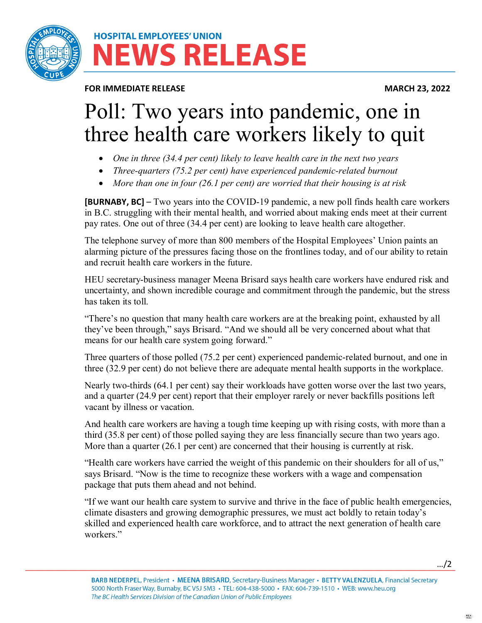

# **HOSPITAL EMPLOYEES' UNION IEWS RELEASE**

**FOR IMMEDIATE RELEASE MARCH 23, 2022** 

# Poll: Two years into pandemic, one in three health care workers likely to quit

- *One in three (34.4 per cent) likely to leave health care in the next two years*
- *Three-quarters (75.2 per cent) have experienced pandemic-related burnout*
- *More than one in four (26.1 per cent) are worried that their housing is at risk*

**[BURNABY, BC]** – Two years into the COVID-19 pandemic, a new poll finds health care workers in B.C. struggling with their mental health, and worried about making ends meet at their current pay rates. One out of three (34.4 per cent) are looking to leave health care altogether.

The telephone survey of more than 800 members of the Hospital Employees' Union paints an alarming picture of the pressures facing those on the frontlines today, and of our ability to retain and recruit health care workers in the future.

HEU secretary-business manager Meena Brisard says health care workers have endured risk and uncertainty, and shown incredible courage and commitment through the pandemic, but the stress has taken its toll.

"There's no question that many health care workers are at the breaking point, exhausted by all they've been through," says Brisard. "And we should all be very concerned about what that means for our health care system going forward."

Three quarters of those polled (75.2 per cent) experienced pandemic-related burnout, and one in three (32.9 per cent) do not believe there are adequate mental health supports in the workplace.

Nearly two-thirds (64.1 per cent) say their workloads have gotten worse over the last two years, and a quarter (24.9 per cent) report that their employer rarely or never backfills positions left vacant by illness or vacation.

And health care workers are having a tough time keeping up with rising costs, with more than a third (35.8 per cent) of those polled saying they are less financially secure than two years ago. More than a quarter (26.1 per cent) are concerned that their housing is currently at risk.

"Health care workers have carried the weight of this pandemic on their shoulders for all of us," says Brisard. "Now is the time to recognize these workers with a wage and compensation package that puts them ahead and not behind.

"If we want our health care system to survive and thrive in the face of public health emergencies, climate disasters and growing demographic pressures, we must act boldly to retain today's skilled and experienced health care workforce, and to attract the next generation of health care workers."

…/2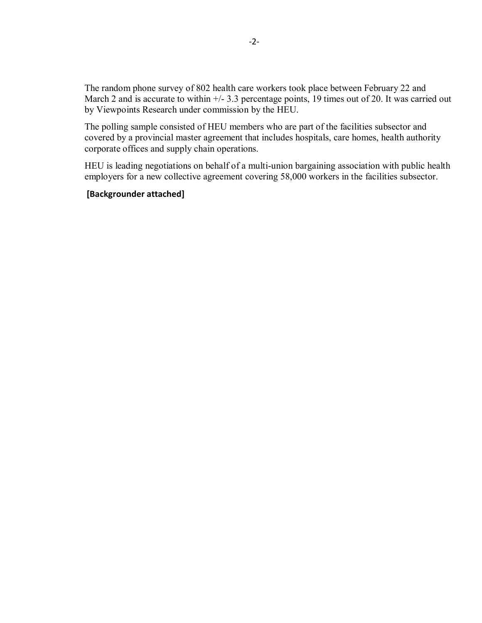The random phone survey of 802 health care workers took place between February 22 and March 2 and is accurate to within  $+\frac{1}{3}$ . percentage points, 19 times out of 20. It was carried out by Viewpoints Research under commission by the HEU.

The polling sample consisted of HEU members who are part of the facilities subsector and covered by a provincial master agreement that includes hospitals, care homes, health authority corporate offices and supply chain operations.

HEU is leading negotiations on behalf of a multi-union bargaining association with public health employers for a new collective agreement covering 58,000 workers in the facilities subsector.

#### **[Backgrounder attached]**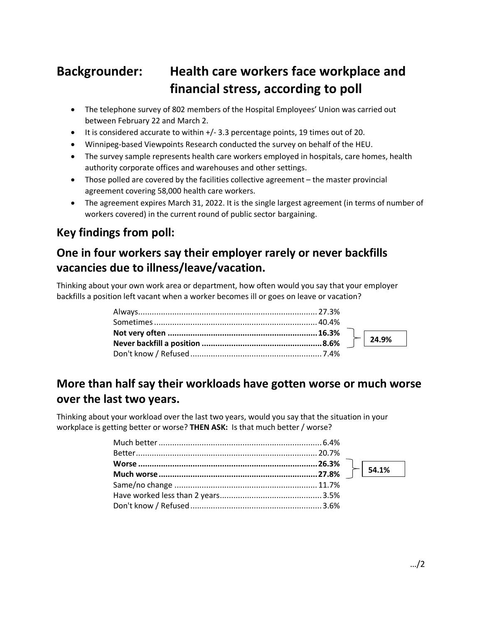# **Backgrounder: Health care workers face workplace and financial stress, according to poll**

- The telephone survey of 802 members of the Hospital Employees' Union was carried out between February 22 and March 2.
- It is considered accurate to within +/- 3.3 percentage points, 19 times out of 20.
- Winnipeg-based Viewpoints Research conducted the survey on behalf of the HEU.
- The survey sample represents health care workers employed in hospitals, care homes, health authority corporate offices and warehouses and other settings.
- Those polled are covered by the facilities collective agreement the master provincial agreement covering 58,000 health care workers.
- The agreement expires March 31, 2022. It is the single largest agreement (in terms of number of workers covered) in the current round of public sector bargaining.

## **Key findings from poll:**

# **One in four workers say their employer rarely or never backfills vacancies due to illness/leave/vacation.**

Thinking about your own work area or department, how often would you say that your employer backfills a position left vacant when a worker becomes ill or goes on leave or vacation?

# **More than half say their workloads have gotten worse or much worse over the last two years.**

Thinking about your workload over the last two years, would you say that the situation in your workplace is getting better or worse? **THEN ASK:** Is that much better / worse?

**24.9%**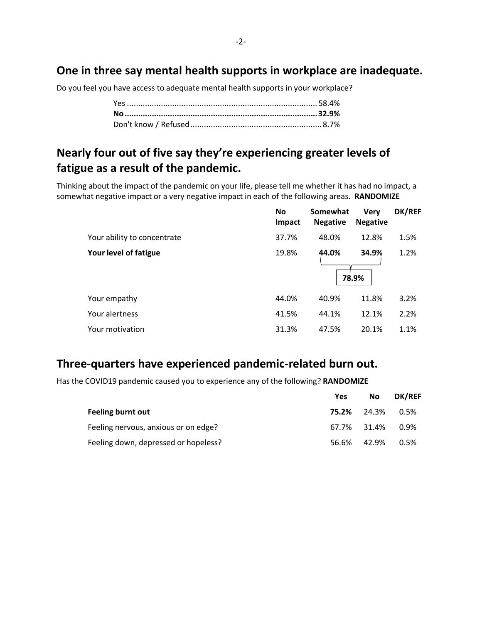#### **One in three say mental health supports in workplace are inadequate.**

Do you feel you have access to adequate mental health supports in your workplace?

## **Nearly four out of five say they're experiencing greater levels of fatigue as a result of the pandemic.**

Thinking about the impact of the pandemic on your life, please tell me whether it has had no impact, a somewhat negative impact or a very negative impact in each of the following areas. **RANDOMIZE**

|                             | <b>No</b><br>Impact | Somewhat<br><b>Negative</b> | <b>Verv</b><br><b>Negative</b> | DK/REF |
|-----------------------------|---------------------|-----------------------------|--------------------------------|--------|
| Your ability to concentrate | 37.7%               | 48.0%                       | 12.8%                          | 1.5%   |
| Your level of fatigue       | 19.8%               | 44.0%                       | 34.9%<br>78.9%                 | 1.2%   |
| Your empathy                | 44.0%               | 40.9%                       | 11.8%                          | 3.2%   |
| Your alertness              | 41.5%               | 44.1%                       | 12.1%                          | 2.2%   |
| Your motivation             | 31.3%               | 47.5%                       | 20.1%                          | 1.1%   |

#### **Three-quarters have experienced pandemic-related burn out.**

Has the COVID19 pandemic caused you to experience any of the following? **RANDOMIZE**

|                                      | <b>Yes</b> | <b>No</b>          | <b>DK/REF</b> |
|--------------------------------------|------------|--------------------|---------------|
| Feeling burnt out                    |            | <b>75.2%</b> 24.3% | 0.5%          |
| Feeling nervous, anxious or on edge? |            | 67.7% 31.4%        | $0.9\%$       |
| Feeling down, depressed or hopeless? | 56.6%      | 42.9%              | 0.5%          |